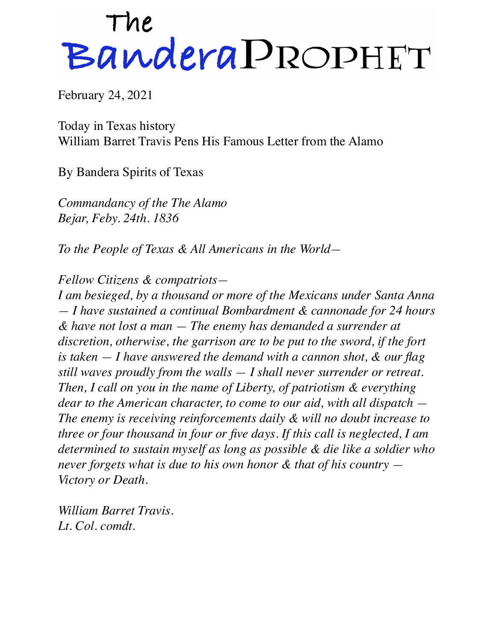## The BanderaPROPHET

February 24, 2021

Today in Texas history William Barret Travis Pens His Famous Letter from the Alamo

By Bandera Spirits of Texas

*Commandancy of the The Alamo Bejar, Feby. 24th. 1836*

*To the People of Texas & All Americans in the World—*

*Fellow Citizens & compatriots—*

*I am besieged, by a thousand or more of the Mexicans under Santa Anna — I have sustained a continual Bombardment & cannonade for 24 hours & have not lost a man — The enemy has demanded a surrender at discretion, otherwise, the garrison are to be put to the sword, if the fort is taken — I have answered the demand with a cannon shot, & our flag still waves proudly from the walls — I shall never surrender or retreat. Then, I call on you in the name of Liberty, of patriotism & everything dear to the American character, to come to our aid, with all dispatch — The enemy is receiving reinforcements daily & will no doubt increase to three or four thousand in four or five days. If this call is neglected, I am determined to sustain myself as long as possible & die like a soldier who never forgets what is due to his own honor & that of his country — Victory or Death.*

*William Barret Travis. Lt. Col. comdt.*